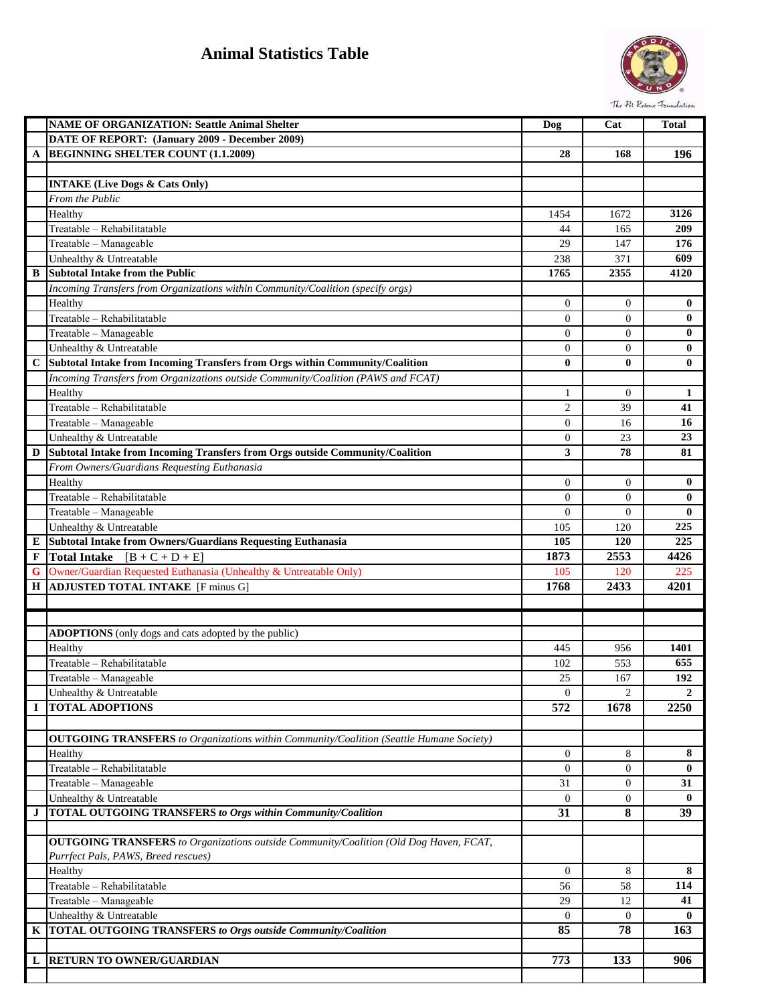## **Animal Statistics Table**



|             | <b>NAME OF ORGANIZATION: Seattle Animal Shelter</b>                                            | Dog            | Cat            | <b>Total</b> |
|-------------|------------------------------------------------------------------------------------------------|----------------|----------------|--------------|
|             | DATE OF REPORT: (January 2009 - December 2009)                                                 |                |                |              |
| A           | <b>BEGINNING SHELTER COUNT (1.1.2009)</b>                                                      | 28             | 168            | 196          |
|             |                                                                                                |                |                |              |
|             | <b>INTAKE (Live Dogs &amp; Cats Only)</b>                                                      |                |                |              |
|             | From the Public                                                                                |                |                |              |
|             | Healthy                                                                                        | 1454           | 1672           | 3126         |
|             | Treatable - Rehabilitatable                                                                    | 44             | 165            | 209          |
|             | Treatable - Manageable                                                                         | 29             | 147            | 176          |
|             | Unhealthy & Untreatable                                                                        | 238            | 371            | 609          |
| B           | <b>Subtotal Intake from the Public</b>                                                         | 1765           | 2355           | 4120         |
|             | Incoming Transfers from Organizations within Community/Coalition (specify orgs)                |                |                |              |
|             | Healthy                                                                                        | $\overline{0}$ | $\mathbf{0}$   | $\bf{0}$     |
|             | Treatable - Rehabilitatable                                                                    | $\overline{0}$ | $\theta$       | $\bf{0}$     |
|             | Treatable - Manageable                                                                         | $\theta$       | $\theta$       | $\bf{0}$     |
|             | Unhealthy & Untreatable                                                                        | $\theta$       | $\theta$       | $\bf{0}$     |
| $\mathbf C$ | Subtotal Intake from Incoming Transfers from Orgs within Community/Coalition                   | $\bf{0}$       | $\bf{0}$       | $\bf{0}$     |
|             | Incoming Transfers from Organizations outside Community/Coalition (PAWS and FCAT)              |                |                |              |
|             | Healthy                                                                                        | 1              | $\theta$       | 1            |
|             | Treatable - Rehabilitatable                                                                    | $\overline{c}$ | 39             | 41           |
|             | Treatable - Manageable                                                                         | $\mathbf{0}$   | 16             | 16           |
|             | Unhealthy & Untreatable                                                                        | $\theta$       | 23             | 23           |
| D           | Subtotal Intake from Incoming Transfers from Orgs outside Community/Coalition                  | 3              | 78             | 81           |
|             | From Owners/Guardians Requesting Euthanasia                                                    |                |                |              |
|             | Healthy                                                                                        | $\overline{0}$ | $\theta$       | $\bf{0}$     |
|             | Treatable - Rehabilitatable                                                                    | $\theta$       | $\theta$       | $\bf{0}$     |
|             |                                                                                                | $\theta$       | $\theta$       | $\bf{0}$     |
|             | Treatable - Manageable                                                                         |                |                |              |
|             | Unhealthy & Untreatable                                                                        | 105<br>105     | 120<br>120     | 225<br>225   |
| E           | Subtotal Intake from Owners/Guardians Requesting Euthanasia                                    |                |                |              |
| F           | <b>Total Intake</b><br>$[B + C + D + E]$                                                       | 1873           | 2553           | 4426         |
| G           | Owner/Guardian Requested Euthanasia (Unhealthy & Untreatable Only)                             | 105<br>1768    | 120<br>2433    | 225          |
| Н           | <b>ADJUSTED TOTAL INTAKE</b> [F minus G]                                                       |                |                | 4201         |
|             |                                                                                                |                |                |              |
|             |                                                                                                |                |                |              |
|             | <b>ADOPTIONS</b> (only dogs and cats adopted by the public)                                    |                |                |              |
|             | Healthy                                                                                        | 445            | 956            | 1401         |
|             | Treatable - Rehabilitatable                                                                    | 102            | 553            | 655          |
|             | Treatable - Manageable                                                                         | 25             | 167            | 192          |
|             | Unhealthy & Untreatable                                                                        | $\theta$       | 2              | $\mathbf{2}$ |
| $\bf{I}$    | <b>TOTAL ADOPTIONS</b>                                                                         | 572            | 1678           | 2250         |
|             |                                                                                                |                |                |              |
|             | <b>OUTGOING TRANSFERS</b> to Organizations within Community/Coalition (Seattle Humane Society) |                |                |              |
|             | Healthy                                                                                        | $\theta$       | 8              | 8            |
|             | Treatable - Rehabilitatable                                                                    | $\mathbf{0}$   | $\overline{0}$ | $\bf{0}$     |
|             | Treatable - Manageable                                                                         | 31             | $\mathbf{0}$   | 31           |
|             | Unhealthy & Untreatable                                                                        | $\theta$       | $\mathbf{0}$   | $\bf{0}$     |
| J           | <b>TOTAL OUTGOING TRANSFERS to Orgs within Community/Coalition</b>                             | 31             | 8              | 39           |
|             |                                                                                                |                |                |              |
|             | <b>OUTGOING TRANSFERS</b> to Organizations outside Community/Coalition (Old Dog Haven, FCAT,   |                |                |              |
|             | Purrfect Pals, PAWS, Breed rescues)                                                            |                |                |              |
|             | Healthy                                                                                        | $\theta$       | 8              | 8            |
|             | Treatable - Rehabilitatable                                                                    | 56             | 58             | 114          |
|             | Treatable - Manageable                                                                         | 29             | 12             | 41           |
|             | Unhealthy & Untreatable                                                                        | $\theta$       | $\theta$       | $\bf{0}$     |
| K           | TOTAL OUTGOING TRANSFERS to Orgs outside Community/Coalition                                   | 85             | 78             | 163          |
|             |                                                                                                |                |                |              |
|             |                                                                                                |                |                |              |
| L           | RETURN TO OWNER/GUARDIAN                                                                       | 773            | 133            | 906          |